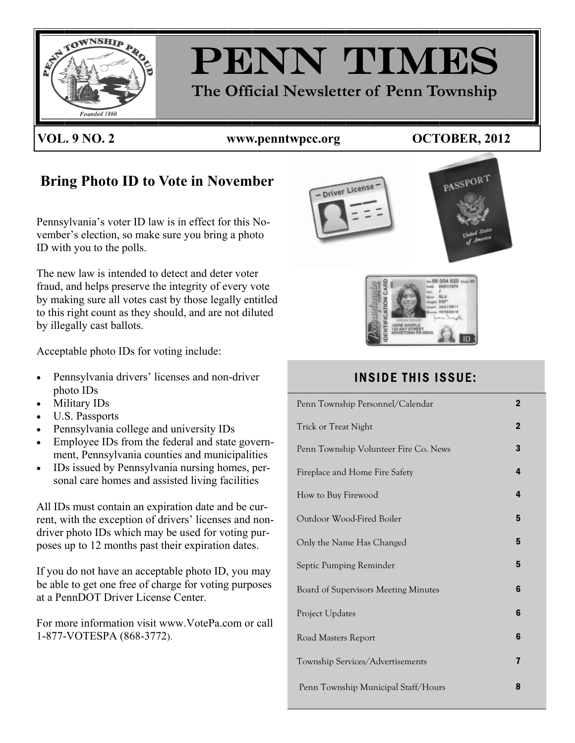

# PENN TIMES **The Official Newsletter of Penn Township**

## **VOL. 9 NO. 2 www.penntwpcc.org OCTOBER, 2012**

PAGE 1

## **Bring Photo ID to Vote in November**

Pennsylvania's voter ID law is in effect for this November's election, so make sure you bring a photo ID with you to the polls.

The new law is intended to detect and deter voter fraud, and helps preserve the integrity of every vote by making sure all votes cast by those legally entitled to this right count as they should, and are not diluted by illegally cast ballots.

Acceptable photo IDs for voting include:

- Pennsylvania drivers' licenses and non-driver photo IDs
- Military IDs
- U.S. Passports
- Pennsylvania college and university IDs
- Employee IDs from the federal and state government, Pennsylvania counties and municipalities
- IDs issued by Pennsylvania nursing homes, personal care homes and assisted living facilities

All IDs must contain an expiration date and be current, with the exception of drivers' licenses and nondriver photo IDs which may be used for voting purposes up to 12 months past their expiration dates.

If you do not have an acceptable photo ID, you may be able to get one free of charge for voting purposes at a PennDOT Driver License Center.

For more information visit www.VotePa.com or call 1-877-VOTESPA (868-3772).





## INSIDE THIS ISSUE:

| Penn Township Personnel/Calendar      | $\mathbf 2$             |
|---------------------------------------|-------------------------|
| Trick or Treat Night                  | $\overline{2}$          |
| Penn Township Volunteer Fire Co. News | 3                       |
| Fireplace and Home Fire Safety        | $\overline{\mathbf{4}}$ |
| How to Buy Firewood                   | $\overline{\mathbf{4}}$ |
| Outdoor Wood-Fired Boiler             | 5                       |
| Only the Name Has Changed             | 5                       |
| Septic Pumping Reminder               | 5                       |
| Board of Supervisors Meeting Minutes  | 6                       |
| Project Updates                       | 6                       |
| Road Masters Report                   | 6                       |
| Township Services/Advertisements      | 7                       |
| Penn Township Municipal Staff/Hours   | 8                       |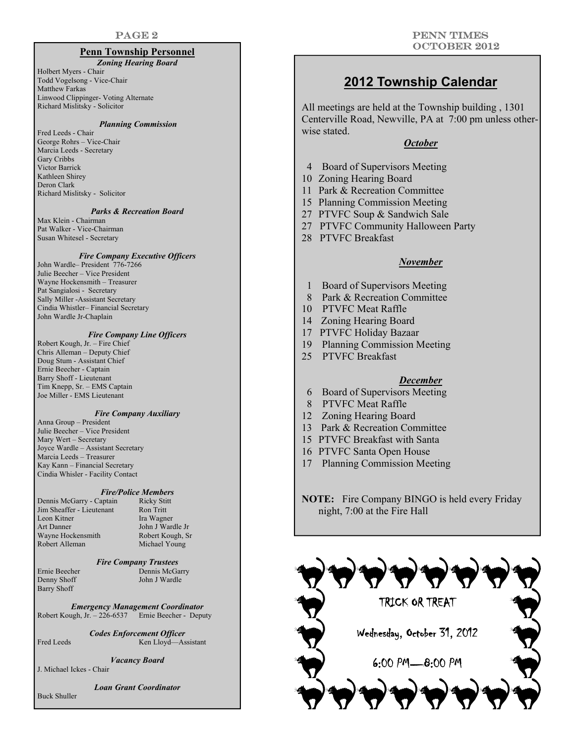#### **Penn Township Personnel**

#### *Zoning Hearing Board*

Holbert Myers - Chair Todd Vogelsong - Vice-Chair Matthew Farkas Linwood Clippinger- Voting Alternate Richard Mislitsky - Solicitor

#### *Planning Commission*

Fred Leeds - Chair George Rohrs – Vice-Chair Marcia Leeds - Secretary Gary Cribbs Victor Barrick Kathleen Shirey Deron Clark Richard Mislitsky - Solicitor

#### *Parks & Recreation Board*

Max Klein - Chairman Pat Walker - Vice-Chairman Susan Whitesel - Secretary

#### *Fire Company Executive Officers*

John Wardle– President 776-7266 Julie Beecher – Vice President Wayne Hockensmith – Treasurer Pat Sangialosi - Secretary Sally Miller -Assistant Secretary Cindia Whistler– Financial Secretary John Wardle Jr-Chaplain

#### *Fire Company Line Officers*

Robert Kough, Jr. – Fire Chief Chris Alleman – Deputy Chief Doug Stum - Assistant Chief Ernie Beecher - Captain Barry Shoff - Lieutenant Tim Knepp, Sr. – EMS Captain Joe Miller - EMS Lieutenant

#### *Fire Company Auxiliary*

Anna Group – President Julie Beecher – Vice President Mary Wert – Secretary Joyce Wardle – Assistant Secretary Marcia Leeds – Treasurer Kay Kann – Financial Secretary Cindia Whisler - Facility Contact

### *Fire/Police Members*

| Dennis McGarry - Captain  | <b>Ricky Stitt</b> |
|---------------------------|--------------------|
| Jim Sheaffer - Lieutenant | Ron Tritt          |
| Leon Kitner               | Ira Wagner         |
| <b>Art Danner</b>         | John J Wardle Jr   |
| Wayne Hockensmith         | Robert Kough, Sr   |
| Robert Alleman            | Michael Young      |

| <b>INIURY SUITE</b> |
|---------------------|
| <b>Ron</b> Tritt    |
| Ira Wagner          |
| John J Wardle Jr    |
| Robert Kough, Sr    |
| Michael Young       |

#### *Fire Company Trustees*

Ernie Beecher Dennis McGarry Denny Shoff John J Wardle Barry Shoff

*Emergency Management Coordinator*  Robert Kough, Jr. – 226-6537 Ernie Beecher - Deputy

*Codes Enforcement Officer*  Fred Leeds Ken Lloyd—Assistant

*Vacancy Board* 

J. Michael Ickes - Chair

*Loan Grant Coordinator* 

Buck Shuller

### **2012 Township Calendar**

All meetings are held at the Township building , 1301 Centerville Road, Newville, PA at 7:00 pm unless otherwise stated.

#### *October*

- 4 Board of Supervisors Meeting
- 10 Zoning Hearing Board
- 11 Park & Recreation Committee
- 15 Planning Commission Meeting
- 27 PTVFC Soup & Sandwich Sale
- 27 PTVFC Community Halloween Party
- 28 PTVFC Breakfast

#### *November*

- 1 Board of Supervisors Meeting
- 8 Park & Recreation Committee
- 10 PTVFC Meat Raffle
- 14 Zoning Hearing Board
- 17 PTVFC Holiday Bazaar
- 19 Planning Commission Meeting
- 25 PTVFC Breakfast

#### *December*

- 6 Board of Supervisors Meeting
- 8 PTVFC Meat Raffle
- 12 Zoning Hearing Board
- 13 Park & Recreation Committee
- 15 PTVFC Breakfast with Santa
- 16 PTVFC Santa Open House
- 17 Planning Commission Meeting

**NOTE:** Fire Company BINGO is held every Friday night, 7:00 at the Fire Hall

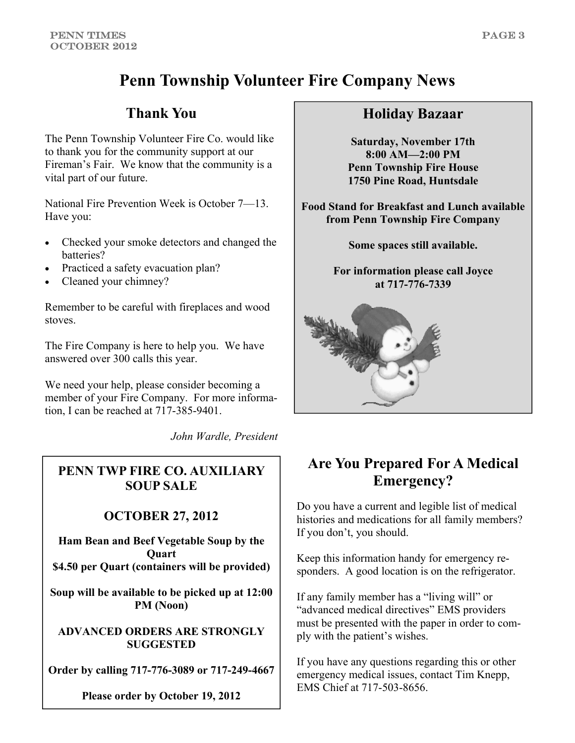## **Penn Township Volunteer Fire Company News**

## **Thank You**

The Penn Township Volunteer Fire Co. would like to thank you for the community support at our Fireman's Fair. We know that the community is a vital part of our future.

National Fire Prevention Week is October 7—13. Have you:

- Checked your smoke detectors and changed the batteries?
- Practiced a safety evacuation plan?
- Cleaned your chimney?

Remember to be careful with fireplaces and wood stoves.

The Fire Company is here to help you. We have answered over 300 calls this year.

We need your help, please consider becoming a member of your Fire Company. For more information, I can be reached at 717-385-9401.

*John Wardle, President* 

## **PENN TWP FIRE CO. AUXILIARY SOUP SALE**

## **OCTOBER 27, 2012**

**Ham Bean and Beef Vegetable Soup by the Quart \$4.50 per Quart (containers will be provided)** 

**Soup will be available to be picked up at 12:00 PM (Noon)** 

**ADVANCED ORDERS ARE STRONGLY SUGGESTED** 

**Order by calling 717-776-3089 or 717-249-4667** 

**Please order by October 19, 2012** 

## **Holiday Bazaar**

**Saturday, November 17th 8:00 AM—2:00 PM Penn Township Fire House 1750 Pine Road, Huntsdale** 

**Food Stand for Breakfast and Lunch available from Penn Township Fire Company** 

**Some spaces still available.** 

**For information please call Joyce at 717-776-7339** 



## **Are You Prepared For A Medical Emergency?**

Do you have a current and legible list of medical histories and medications for all family members? If you don't, you should.

Keep this information handy for emergency responders. A good location is on the refrigerator.

If any family member has a "living will" or "advanced medical directives" EMS providers must be presented with the paper in order to comply with the patient's wishes.

If you have any questions regarding this or other emergency medical issues, contact Tim Knepp, EMS Chief at 717-503-8656.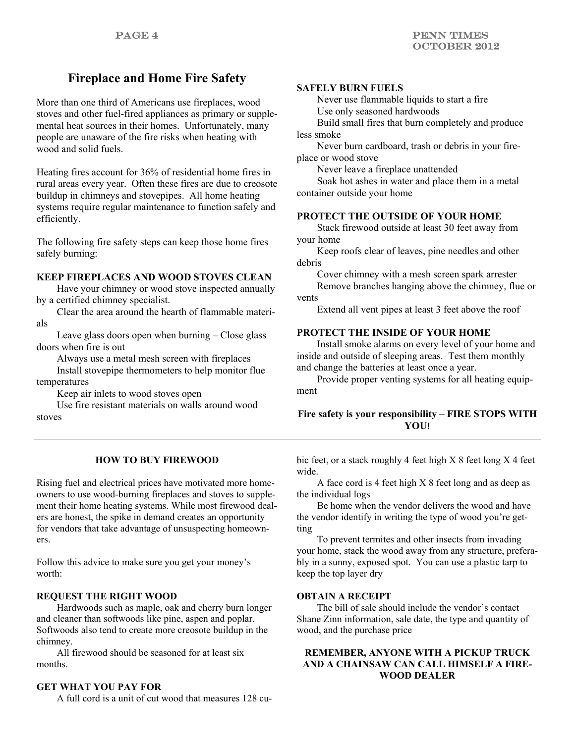## **Fireplace and Home Fire Safety**

More than one third of Americans use fireplaces, wood stoves and other fuel-fired appliances as primary or supplemental heat sources in their homes. Unfortunately, many people are unaware of the fire risks when heating with wood and solid fuels.

Heating fires account for 36% of residential home fires in rural areas every year. Often these fires are due to creosote buildup in chimneys and stovepipes. All home heating systems require regular maintenance to function safely and efficiently.

The following fire safety steps can keep those home fires safely burning:

#### **KEEP FIREPLACES AND WOOD STOVES CLEAN**

 Have your chimney or wood stove inspected annually by a certified chimney specialist.

 Clear the area around the hearth of flammable materials

 Leave glass doors open when burning – Close glass doors when fire is out

 Always use a metal mesh screen with fireplaces Install stovepipe thermometers to help monitor flue

temperatures Keep air inlets to wood stoves open

 Use fire resistant materials on walls around wood stoves

#### **SAFELY BURN FUELS**

 Never use flammable liquids to start a fire Use only seasoned hardwoods

 Build small fires that burn completely and produce less smoke

 Never burn cardboard, trash or debris in your fireplace or wood stove

Never leave a fireplace unattended

 Soak hot ashes in water and place them in a metal container outside your home

#### **PROTECT THE OUTSIDE OF YOUR HOME**

 Stack firewood outside at least 30 feet away from your home

 Keep roofs clear of leaves, pine needles and other debris

 Cover chimney with a mesh screen spark arrester Remove branches hanging above the chimney, flue or vents

Extend all vent pipes at least 3 feet above the roof

#### **PROTECT THE INSIDE OF YOUR HOME**

 Install smoke alarms on every level of your home and inside and outside of sleeping areas. Test them monthly and change the batteries at least once a year.

 Provide proper venting systems for all heating equipment

#### **Fire safety is your responsibility – FIRE STOPS WITH YOU!**

#### **HOW TO BUY FIREWOOD**

Rising fuel and electrical prices have motivated more homeowners to use wood-burning fireplaces and stoves to supplement their home heating systems. While most firewood dealers are honest, the spike in demand creates an opportunity for vendors that take advantage of unsuspecting homeowners.

Follow this advice to make sure you get your money's worth:

#### **REQUEST THE RIGHT WOOD**

 Hardwoods such as maple, oak and cherry burn longer and cleaner than softwoods like pine, aspen and poplar. Softwoods also tend to create more creosote buildup in the chimney.

 All firewood should be seasoned for at least six months.

#### **GET WHAT YOU PAY FOR**

A full cord is a unit of cut wood that measures 128 cu-

bic feet, or a stack roughly 4 feet high X 8 feet long X 4 feet wide.

 A face cord is 4 feet high X 8 feet long and as deep as the individual logs

 Be home when the vendor delivers the wood and have the vendor identify in writing the type of wood you're getting

 To prevent termites and other insects from invading your home, stack the wood away from any structure, preferably in a sunny, exposed spot. You can use a plastic tarp to keep the top layer dry

#### **OBTAIN A RECEIPT**

 The bill of sale should include the vendor's contact Shane Zinn information, sale date, the type and quantity of wood, and the purchase price

#### **REMEMBER, ANYONE WITH A PICKUP TRUCK AND A CHAINSAW CAN CALL HIMSELF A FIRE-WOOD DEALER**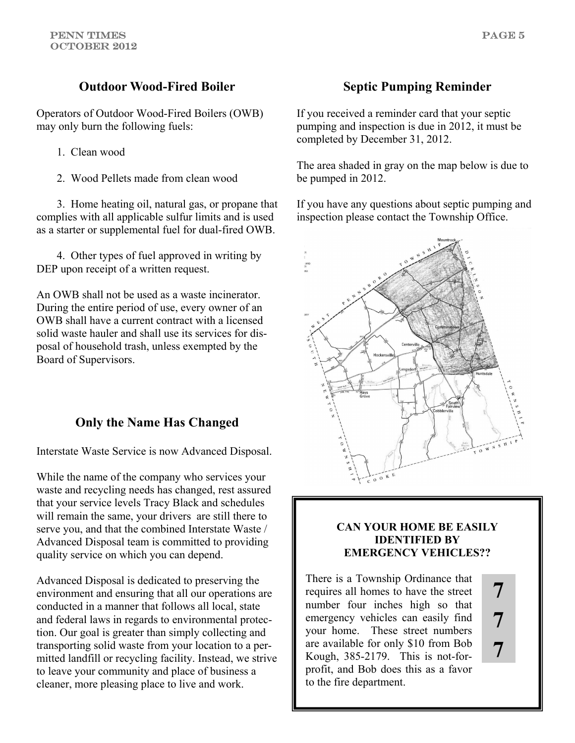## **Outdoor Wood-Fired Boiler**

Operators of Outdoor Wood-Fired Boilers (OWB) may only burn the following fuels:

- 1. Clean wood
- 2. Wood Pellets made from clean wood

 3. Home heating oil, natural gas, or propane that complies with all applicable sulfur limits and is used as a starter or supplemental fuel for dual-fired OWB.

 4. Other types of fuel approved in writing by DEP upon receipt of a written request.

An OWB shall not be used as a waste incinerator. During the entire period of use, every owner of an OWB shall have a current contract with a licensed solid waste hauler and shall use its services for disposal of household trash, unless exempted by the Board of Supervisors.

## **Only the Name Has Changed**

Interstate Waste Service is now Advanced Disposal.

While the name of the company who services your waste and recycling needs has changed, rest assured that your service levels Tracy Black and schedules will remain the same, your drivers are still there to serve you, and that the combined Interstate Waste / Advanced Disposal team is committed to providing quality service on which you can depend.

Advanced Disposal is dedicated to preserving the environment and ensuring that all our operations are conducted in a manner that follows all local, state and federal laws in regards to environmental protection. Our goal is greater than simply collecting and transporting solid waste from your location to a permitted landfill or recycling facility. Instead, we strive to leave your community and place of business a cleaner, more pleasing place to live and work.

## **Septic Pumping Reminder**

If you received a reminder card that your septic pumping and inspection is due in 2012, it must be completed by December 31, 2012.

The area shaded in gray on the map below is due to be pumped in 2012.

If you have any questions about septic pumping and inspection please contact the Township Office.



#### **CAN YOUR HOME BE EASILY IDENTIFIED BY EMERGENCY VEHICLES??**

**7** 

**7** 

**7** 

There is a Township Ordinance that requires all homes to have the street number four inches high so that emergency vehicles can easily find your home. These street numbers are available for only \$10 from Bob Kough, 385-2179. This is not-forprofit, and Bob does this as a favor to the fire department.

PAGE 5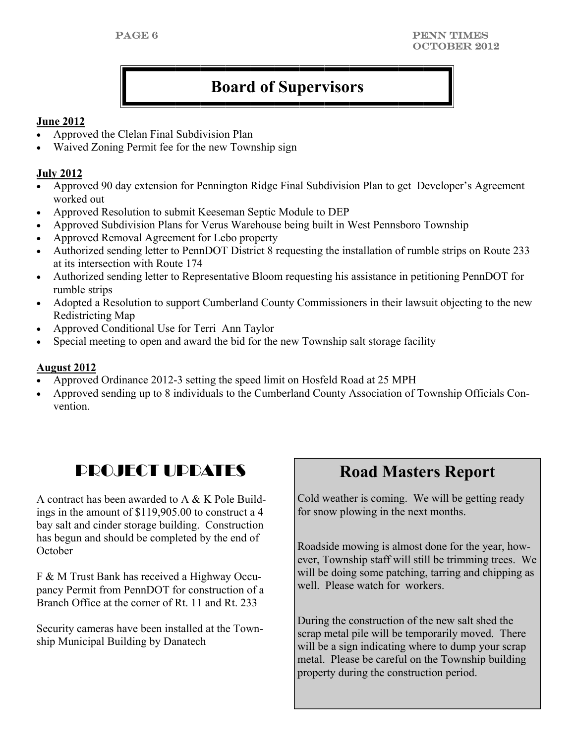## **Board of Supervisors**

### **June 2012**

- Approved the Clelan Final Subdivision Plan
- Waived Zoning Permit fee for the new Township sign

### **July 2012**

- Approved 90 day extension for Pennington Ridge Final Subdivision Plan to get Developer's Agreement worked out
- Approved Resolution to submit Keeseman Septic Module to DEP
- Approved Subdivision Plans for Verus Warehouse being built in West Pennsboro Township
- Approved Removal Agreement for Lebo property
- Authorized sending letter to PennDOT District 8 requesting the installation of rumble strips on Route 233 at its intersection with Route 174
- Authorized sending letter to Representative Bloom requesting his assistance in petitioning PennDOT for rumble strips
- Adopted a Resolution to support Cumberland County Commissioners in their lawsuit objecting to the new Redistricting Map
- Approved Conditional Use for Terri Ann Taylor
- Special meeting to open and award the bid for the new Township salt storage facility

## **August 2012**

- Approved Ordinance 2012-3 setting the speed limit on Hosfeld Road at 25 MPH
- Approved sending up to 8 individuals to the Cumberland County Association of Township Officials Convention.

## **PROJECT UPDATES** Road Masters Report

A contract has been awarded to A & K Pole Buildings in the amount of \$119,905.00 to construct a 4 bay salt and cinder storage building. Construction has begun and should be completed by the end of **October** 

F & M Trust Bank has received a Highway Occupancy Permit from PennDOT for construction of a Branch Office at the corner of Rt. 11 and Rt. 233

Security cameras have been installed at the Township Municipal Building by Danatech

Cold weather is coming. We will be getting ready for snow plowing in the next months.

Roadside mowing is almost done for the year, however, Township staff will still be trimming trees. We will be doing some patching, tarring and chipping as well. Please watch for workers.

During the construction of the new salt shed the scrap metal pile will be temporarily moved. There will be a sign indicating where to dump your scrap metal. Please be careful on the Township building property during the construction period.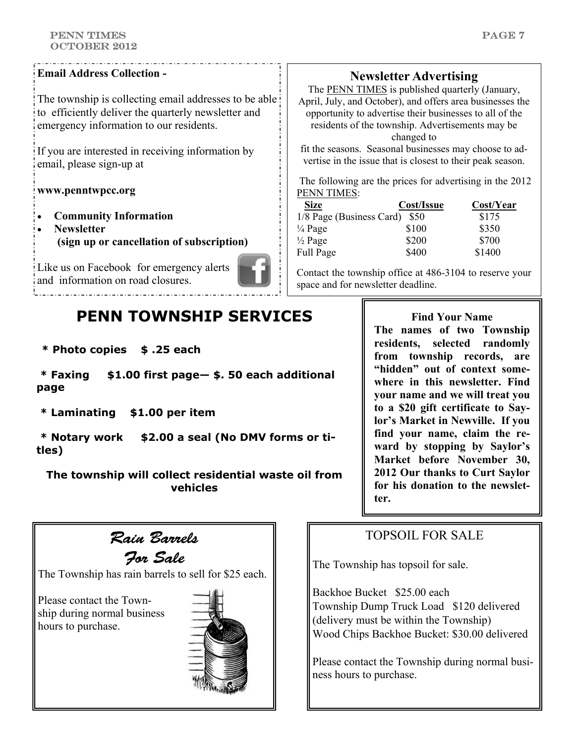#### PENN TIMEs OCTOBER 2012

#### **Email Address Collection -**

The township is collecting email addresses to be able to efficiently deliver the quarterly newsletter and emergency information to our residents.

If you are interested in receiving information by email, please sign-up at

#### **www.penntwpcc.org**

- **Community Information**
- **Newsletter (sign up or cancellation of subscription)**

Like us on Facebook for emergency alerts and information on road closures.

## **PENN TOWNSHIP SERVICES**

**\* Photo copies \$ .25 each** 

 **\* Faxing \$1.00 first page— \$. 50 each additional page** 

 **\* Laminating \$1.00 per item** 

 **\* Notary work \$2.00 a seal (No DMV forms or titles)** 

**The township will collect residential waste oil from vehicles** 



For Sale

The Township has rain barrels to sell for \$25 each.

Please contact the Township during normal business hours to purchase.



## **Newsletter Advertising**

The **PENN TIMES** is published quarterly (January, April, July, and October), and offers area businesses the opportunity to advertise their businesses to all of the residents of the township. Advertisements may be changed to

fit the seasons. Seasonal businesses may choose to advertise in the issue that is closest to their peak season.

 The following are the prices for advertising in the 2012 PENN TIMES:

| <b>Size</b>              | Cost/Issue | Cost/Year |
|--------------------------|------------|-----------|
| 1/8 Page (Business Card) | - S50      | \$175     |
| $\frac{1}{4}$ Page       | \$100      | \$350     |
| $\frac{1}{2}$ Page       | \$200      | \$700     |
| Full Page                | \$400      | \$1400    |

Contact the township office at 486-3104 to reserve your space and for newsletter deadline.

> **Find Your Name The names of two Township residents, selected randomly from township records, are "hidden" out of context somewhere in this newsletter. Find your name and we will treat you to a \$20 gift certificate to Saylor's Market in Newville. If you find your name, claim the reward by stopping by Saylor's Market before November 30, 2012 Our thanks to Curt Saylor for his donation to the newsletter.**

## TOPSOIL FOR SALE

The Township has topsoil for sale.

Backhoe Bucket \$25.00 each Township Dump Truck Load \$120 delivered (delivery must be within the Township) Wood Chips Backhoe Bucket: \$30.00 delivered

Please contact the Township during normal business hours to purchase.